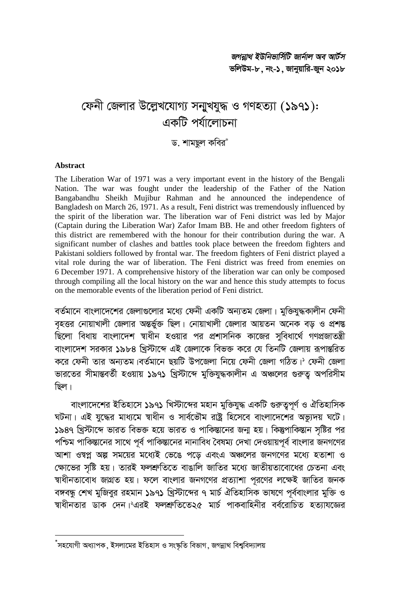# ফেনী জেলার উল্লেখযোগ্য সনাুখযুদ্ধ ও গণহত্যা (১৯৭১): একটি পর্যালোচনা

ড. শামছল কবির\*

#### **Abstract**

The Liberation War of 1971 was a very important event in the history of the Bengali Nation. The war was fought under the leadership of the Father of the Nation Bangabandhu Sheikh Mujibur Rahman and he announced the independence of Bangladesh on March 26, 1971. As a result, Feni district was tremendously influenced by the spirit of the liberation war. The liberation war of Feni district was led by Major (Captain during the Liberation War) Zafor Imam BB. He and other freedom fighters of this district are remembered with the honour for their contribution during the war. A significant number of clashes and battles took place between the freedom fighters and Pakistani soldiers followed by frontal war. The freedom fighters of Feni district played a vital role during the war of liberation. The Feni district was freed from enemies on 6 December 1971. A comprehensive history of the liberation war can only be composed through compiling all the local history on the war and hence this study attempts to focus on the memorable events of the liberation period of Feni district.

বর্তমানে বাংলাদেশের জেলাগুলোর মধ্যে ফেনী একটি অন্যতম জেলা। মুক্তিযুদ্ধকালীন ফেনী বৃহত্তর নোয়াখালী জেলার অন্তর্ভুক্ত ছিল। নোয়াখালী জেলার আয়তন অনেক বড় ও প্রশন্ত ্<br>ছিলো বিধায় বাংলাদেশ স্বাধীন হওয়ার পর প্রশাসনিক কাজের সুবিধার্থে গণপ্রজাতন্ত্রী বাংলাদেশ সরকার ১৯৮৪ খিস্টাব্দে এই জেলাকে বিভক্ত করে যে তিনটি জেলায় রূপান্তরিত করে ফেনী তার অন্যতম।বর্তমানে ছয়টি উপজেলা নিয়ে ফেনী জেলা গঠিত।' ফেনী জেলা ভারতের সীমান্তবর্তী হওয়ায় ১৯৭১ খ্রিস্টাব্দে মুক্তিযুদ্ধকালীন এ অঞ্চলের গুরুত অপরিসীম ছিল।

বাংলাদেশের ইতিহাসে ১৯৭১ খিস্টাব্দের মহান মুক্তিযুদ্ধ একটি গুরুত্বপূর্ণ ও ঐতিহাসিক ঘটনা। এই যদ্ধের মাধ্যমে স্বাধীন ও সার্বভৌম রাষ্ট্র হিসেবে বাংলাদেশের অভ্যদয় ঘটে। ১৯৪৭ খ্রিস্টার্দে ভারত বিভক্ত হয়ে ভারত ও পাকিস্তানের জন্ম হয়। কিন্তুপাকিস্তান সৃষ্টির পর পশ্চিম পাকিস্তানের সাথে পূর্ব পাকিস্তানের নানাবিধ বৈষম্য দেখা দেওয়ায়পূর্ব বাংলার জনগণের আশা ওম্বপ্ন অল্প সময়ের মধ্যেই ভেঙে পড়ে এবংএ অঞ্চলের জনগণের মধ্যে হতাশা ও ক্ষোভের সৃষ্টি হয়। তারই ফলশ্রুতিতে বাঙালি জাতির মধ্যে জাতীয়তাবোধের চেতনা এবং স্বাধীনতাবোধ জাগ্রত হয়। ফলে বাংলার জনগণের প্রত্যাশা পরণের লক্ষেই জাতির জনক বঙ্গবন্ধু শেখ মুজিবুর রহমান ১৯৭১ খ্রিস্টাব্দের ৭ মার্চ ঐতিহাসিক ভাষণে পূর্ববাংলার মুক্তি ও ম্বাধীনতার ডাক দেন।°এরই ফলশ্রুতিতে২৫ মার্চ পাকবাহিনীর বর্বরোচিত হত্যাযজ্ঞের

<sup>ঁ</sup>সহযোগী অধ্যাপক, ইসলামের ইতিহাস ও সংষ্কৃতি বিভাগ, জগন্নাথ বিশ্ববিদ্যালয়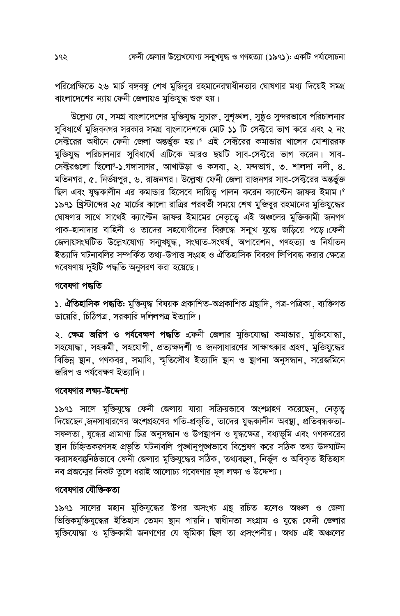পরিপ্রেক্ষিতে ২৬ মার্চ বঙ্গবন্ধু শেখ মুজিবুর রহমানেরস্বাধীনতার ঘোষণার মধ্য দিয়েই সমগ্র বাংলাদেশের ন্যায় ফেনী জেলায়ও মুক্তিযুদ্ধ শুরু হয়।

উল্লেখ্য যে, সমগ্র বাংলাদেশের মুক্তিযুদ্ধ সুচারু, সুশৃঙ্খল, সুষ্ঠুও সুন্দরভাবে পরিচালনার সুবিধার্থে মুজিবনগর সরকার সমগ্র বাংলাদেশকে মোট ১১ টি সেক্টরে ভাগ করে এবং ২ নং সেক্টরের অধীনে ফেনী জেলা অন্তর্ভুক্ত হয়।° এই সেক্টরের কমান্ডার খালেদ মোশাররফ মুক্তিযুদ্ধ পরিচালনার সুবিধার্থে এটিকে আরও ছয়টি সাব-সেক্টরে ভাগ করেন। সাব-সেক্টরগুলো ছিলো !- ১.গঙ্গাসাগর, আখাউড়া ও কসবা, ২. মন্দভাগ, ৩. শালদা নদী, ৪. মতিনগর, ৫. নির্ভয়পুর, ৬. রাজনগর। উল্লেখ্য ফেনী জেলা রাজনগর সাব-সেক্টরের অন্তর্ভুক্ত ছিল এবং যুদ্ধকালীন এর কমান্ডার হিসেবে দায়িত্ব পালন করেন ক্যান্টেন জাফর ইমাম।<sup>2</sup> ১৯৭১ খ্রিস্টাব্দের ২৫ মার্চের কালো রাত্রির পরবর্তী সময়ে শেখ মুজিবুর রহমানের মুক্তিযুদ্ধের ঘোষণার সাথে সাথেই ক্যান্টেন জাফর ইমামের নেতৃত্বে এই অঞ্চলের মুক্তিকামী জনগণ পাক-হানাদার বাহিনী ও তাদের সহযোগীদের বিরুদ্ধে সন্মুখ যুদ্ধে জড়িয়ে পড়ে।ফেনী জেলায়সংঘটিত উল্লেখযোগ্য সনাুখযুদ্ধ, সংঘাত-সংঘৰ্ষ, অপারেশন, গণহত্যা ও নির্যাতন ইত্যাদি ঘটনাবলির সম্পর্কিত তথ্য-উপাত্ত সংগ্রহ ও ঐতিহাসিক বিবরণ লিপিবদ্ধ করার ক্ষেত্রে গবেষণায় দুইটি পদ্ধতি অনুসরণ করা হয়েছে।

### গবেষণা পদ্ধতি

১. ঐতিহাসিক পদ্ধতি: মুক্তিযুদ্ধ বিষয়ক প্রকাশিত-অপ্রকাশিত গ্রন্থাদি, পত্র-পত্রিকা, ব্যক্তিগত ডায়েরি, চিঠিপত্র, সরকারি দলিলপত্র ইত্যাদি।

২. ক্ষেত্র জরিপ ও পর্যবেক্ষণ পদ্ধতি :ফেনী জেলার মুক্তিযোদ্ধা কমান্ডার, মুক্তিযোদ্ধা, সহযোদ্ধা, সহকর্মী, সহযোগী, প্রত্যক্ষদর্শী ও জনসাধারণের সাক্ষাৎকার গ্রহণ, মুক্তিযুদ্ধের বিভিন্ন স্থান, গণকবর, সমাধি, স্মৃতিসৌধ ইত্যাদি স্থান ও স্থাপনা অনুসন্ধান, সরেজমিনে জরিপ ও পর্যবেক্ষণ ইত্যাদি।

#### গবেষণার লক্ষ্য-উদ্দেশ্য

১৯৭১ সালে মুক্তিযুদ্ধে ফেনী জেলায় যারা সক্রিয়ভাবে অংশগ্রহণ করেছেন, নেতৃত্ব দিয়েছেন,জনসাধারণের অংশগ্রহণের গতি-প্রকৃতি, তাদের যুদ্ধকালীন অবস্থা, প্রতিবন্ধকতা-সফলতা, যুদ্ধের প্রামাণ্য চিত্র অনুসন্ধান ও উপস্থাপন ও যুদ্ধক্ষেত্র, বধ্যভূমি এবং গণকবরের ছান চিহ্নিতকরণসহ প্রভৃতি ঘটনাবলি পুঙ্খানুপুঙ্খভাবে বিশ্লেষণ করে সঠিক তথ্য উদঘাটন করাসহবস্তুনিষ্ঠভাবে ফেনী জেলার মুক্তিযুদ্ধের সঠিক, তথ্যবহুল, নির্ভুল ও অবিকৃত ইতিহাস নব প্রজন্মের নিকট তুলে ধরাই আলোচ্য গবেষণার মূল লক্ষ্য ও উদ্দেশ্য।

### গবেষণার যৌক্তিকতা

১৯৭১ সালের মহান মুক্তিযুদ্ধের উপর অসংখ্য গ্রন্থ রচিত হলেও অঞ্চল ও জেলা ভিত্তিকমুক্তিযুদ্ধের ইতিহাস তেমন স্থান পায়নি। শ্বাধীনতা সংগ্রাম ও যুদ্ধে ফেনী জেলার মুক্তিযোদ্ধা ও মুক্তিকামী জনগণের যে ভূমিকা ছিল তা প্রসংশনীয়। অথচ এই অঞ্চলের

১৭২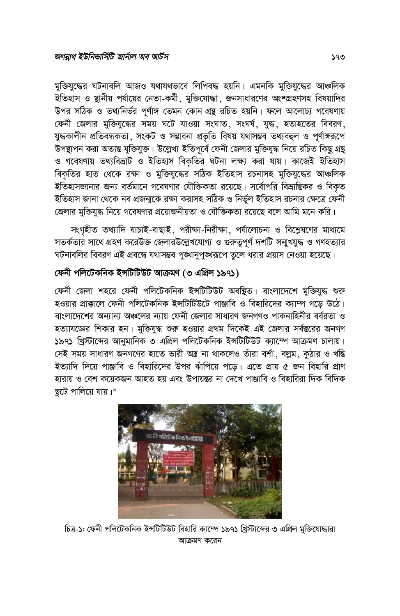মুক্তিযুদ্ধের ঘটনাবলি আজও যথাযথভাবে লিপিবদ্ধ হয়নি। এমনকি মুক্তিযুদ্ধের আঞ্চলিক ইতিহাস ও ষ্থানীয় পর্যায়ের নেতা-কর্মী, মুক্তিযোদ্ধা, জনসাধারণের অংশগ্রহণসহ বিষয়াদির উপর সঠিক ও তথ্যনির্ভর পর্ণাঙ্গ তেমন কোন গ্রন্থ রচিত হয়নি। ফলে আলোচ্য গবেষণায় ফেনী জেলার মুক্তিযুদ্ধের সময় ঘটে যাওয়া সংঘাত, সংঘর্ষ, যুদ্ধ, হতাহতের বিবরণ, যুদ্ধকালীন প্ৰতিবন্ধকতা, সংকট ও সম্ভাবনা প্ৰভৃতি বিষয় যথাসম্ভব তথ্যবহুল ও পূৰ্ণাঙ্গরূপে উপস্থাপন করা অত্যন্ত যুক্তিযুক্ত। উল্লেখ্য ইতিপূর্বে ফেনী জেলার মুক্তিযুদ্ধ নিয়ে রচিত কিছ গ্রন্থ ও গবেষণায় তথ্যবিভ্রাট ও ইতিহাস বিকৃতির ঘটনা লক্ষ্য করা যায়। কাজেই ইতিহাস বিকৃতির হাত থেকে রক্ষা ও মুক্তিযুদ্ধের সঠিক ইতিহাস রচনাসহ মুক্তিযুদ্ধের আঞ্চলিক ইতিহাসজানার জন্য বর্তমানে গবেষণার যৌক্তিকতা রয়েছে। সর্বোপরি বিভ্রান্তিকর ও বিকৃত ইতিহাস জানা থেকে নব প্রজন্মকে রক্ষা করাসহ সঠিক ও নির্ভুল ইতিহাস রচনার ক্ষেত্রে ফেনী জেলার মুক্তিযুদ্ধ নিয়ে গবেষণার প্রয়োজনীয়তা ও যৌক্তিকতা রয়েছে বলে আমি মনে করি।

সংগৃহীত তথ্যাদি যাচাই-বাছাই, পরীক্ষা-নিরীক্ষা, পর্যালোচনা ও বিশ্লেষণের মাধ্যমে সতর্কতার সাথে গ্রহণ করেউক্ত জেলারউল্লেখযোগ্য ও গুরুতুপূর্ণ দশটি সন্মুখযুদ্ধ ও গণহত্যার ঘটনাবলির বিবরণ এই প্রবন্ধে যথাসম্ভব পূঙ্খানুপুঙ্খরূপে তুলে ধরার প্রয়াস নেওয়া হয়েছে।

# ফেনী পলিটেকনিক ইন্সটিটিউট আক্ৰমণ (৩ এপ্ৰিল ১৯৭১)

ফেনী জেলা শহরে ফেনী পলিটেকনিক ইসটিটিউট অবষ্থিত। বাংলাদেশে মুক্তিযুদ্ধ শুরু হওয়ার প্রাক্কালে ফেনী পলিটেকনিক ইসটিটিউটে পাঞ্জাবি ও বিহারিদের ক্যাম্প গডে উঠে। বাংলাদেশের অন্যান্য অঞ্চলের ন্যায় ফেনী জেলার সাধারণ জনগণও পাকনাহিনীর বর্বরতা ও হত্যাযজ্ঞের শিকার হন। মুক্তিযুদ্ধ শুরু হওয়ার প্রথম দিকেই এই জেলার সর্বস্তরের জনগণ ১৯৭১ খ্রিস্টাব্দের আনুমানিক ৩ এপ্রিল পলিটেকনিক ইন্সটিটিউট ক্যাম্পে আক্রমণ চালায়। সেই সময় সাধারণ জনগণের হাতে ভারী অন্ত্র না থাকলেও তাঁরা বর্শা, বল্লম, কুঠার ও খন্তি ইত্যাদি দিয়ে পাঞ্জাবি ও বিহারিদের উপর ঝাঁপিয়ে পডে। এতে প্রায় ৫ জন বিহারি প্রাণ হারায় ও বেশ কয়েকজন আহত হয় এবং উপায়ন্তর না দেখে পাঞ্জাবি ও বিহারিরা দিক বিদিক ছটে পালিয়ে যায়।



চিত্র-১: ফেনী পলিটেকনিক ইন্সটিটিউট বিহারি ক্যম্পে ১৯৭১ খ্রিস্টাব্দের ৩ এপ্রিল মুক্তিযোদ্ধারা আক্ৰমণ করেন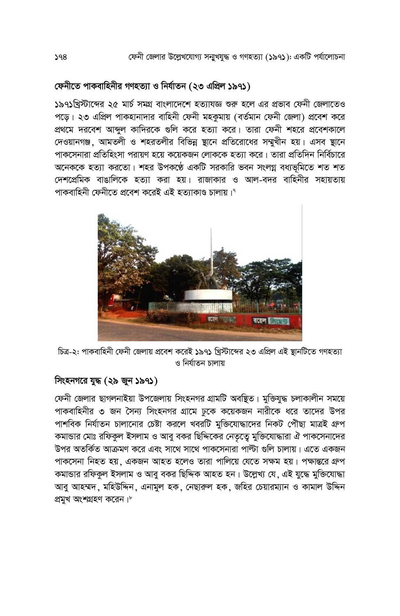# ফেনীতে পাকবাহিনীর গণহত্যা ও নির্যাতন (২৩ এপ্রিল ১৯৭১)

১৯৭১খ্রিস্টাব্দের ২৫ মার্চ সমগ্র বাংলাদেশে হত্যাযজ্ঞ শুরু হলে এর প্রভাব ফেনী জেলাতেও পডে। ২৩ এপ্রিল পাকহানাদার বাহিনী ফেনী মহকমায় (বর্তমান ফেনী জেলা) প্রবেশ করে প্রথমে দরবেশ আব্দুল কাদিরকে গুলি করে হত্যা করে। তারা ফেনী শহরে প্রবেশকালে দেওয়ানগঞ্জ, আমতলী ও শহরতলীর বিভিন্ন ষ্টানে প্রতিরোধের সম্মুখীন হয়। এসব ষ্টানে পাকসেনারা প্রতিহিংসা পরায়ণ হয়ে কয়েকজন লোককে হত্যা করে। তারা প্রতিদিন নির্বিচারে অনেককে হত্যা করতো। শহর উপকণ্ঠে একটি সরকারি ভবন সংলগ্ন বধ্যভমিতে শত শত দেশপ্রেমিক বাঙালিকে হত্যা করা হয়। রাজাকার ও আল-বদর বাহিনীর সহায়তায় পাকবাহিনী ফেনীতে প্ৰবেশ করেই এই হত্যাকাণ্ড চালায়।°



চিত্র-২: পাকবাহিনী ফেনী জেলায় প্রবেশ করেই ১৯৭১ খ্রিস্টাব্দের ২৩ এপ্রিল এই স্থানটিতে গণহত্যা ও নিৰ্যাতন চালায়

### সিংহনগরে যুদ্ধ (২৯ জুন ১৯৭১)

ফেনী জেলার ছাগলনাইয়া উপজেলায় সিংহনগর গ্রামটি অবষ্থিত। মুক্তিযুদ্ধ চলাকালীন সময়ে পাকবাহিনীর ৩ জন সৈন্য সিংহনগর গ্রামে ঢুকে কয়েকজন নারীকে ধরে তাদের উপর পাশবিক নির্যাতন চালানোর চেষ্টা করলে খবরটি মক্তিযোদ্ধাদের নিকট পৌছা মাত্রই গ্রুপ কমান্ডার মোঃ রফিকুল ইসলাম ও আবু বকর ছিদ্দিকের নেতৃতে মুক্তিযোদ্ধারা ঐ পাকসেনাদের উপর অতর্কিত আক্রমণ করে এবং সাথে সাথে পাকসেনারা পাল্টা গুলি চালায়। এতে একজন পাকসেনা নিহত হয়, একজন আহত হলেও তারা পালিয়ে যেতে সক্ষম হয়। পক্ষান্তরে গ্রুপ কমান্ডার রফিকল ইসলাম ও আবু বকর ছিদ্দিক আহত হন। উল্লেখ্য যে, এই যুদ্ধে মুক্তিযোদ্ধা আবু আহম্মদ, মহিউদ্দিন, এনামুল হক, নেছারুল হক, জহির চেয়ারম্যান ও কামাল উদ্দিন প্ৰমখ অংশগ্ৰহণ করেন।\*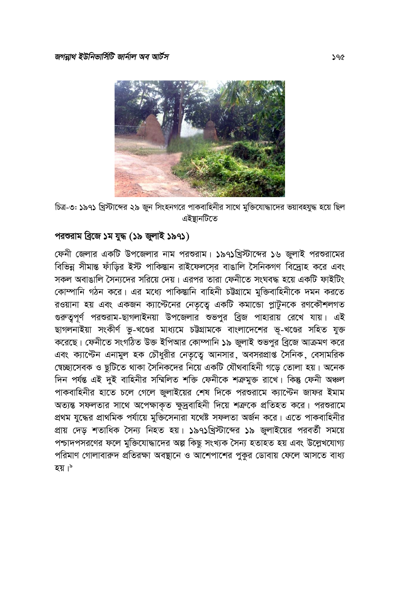

চিত্র-৩: ১৯৭১ খ্রিস্টাব্দের ২৯ জুন সিংহনগরে পাকবাহিনীর সাথে মুক্তিযোদ্ধাদের ভয়াবহযুদ্ধ হয়ে ছিল এইষ্টানটিতে

# পরশুরাম ব্রিজে ১ম যুদ্ধ (১৯ জুলাই ১৯৭১)

ফেনী জেলার একটি উপজেলার নাম পরশুরাম। ১৯৭১খ্রিস্টাব্দের ১৬ জুলাই পরশুরামের বিভিন্ন সীমান্ত ফাঁড়ির ইস্ট পাকিস্তান রাইফেলসের বাঙালি সৈনিকগণ বিদ্রোহ করে এবং সকল অবাঙালি সৈন্যদের সরিয়ে দেয়। এরপর তারা ফেনীতে সংঘবদ্ধ হয়ে একটি ফাইটিং কোম্পানি গঠন করে। এর মধ্যে পাকিস্তানি বাহিনী চট্টগ্রামে মুক্তিবাহিনীকে দমন করতে রওয়ানা হয় এবং একজন ক্যাস্টেনের নেতৃত্বে একটি কমান্ডো প্লাটুনকে রণকৌশলগত গুরুত্বপূর্ণ পরশুরাম-ছাগলাইনয়া উপজেলার শুভপুর ব্রিজ পাহারায় রেখে যায়। এই ছাগলনাইয়া সংকীৰ্ণ ভূ-খণ্ডের মাধ্যমে চট্টগ্রামকে বাংলাদেশের ভূ-খণ্ডের সহিত যুক্ত করেছে। ফেনীতে সংগঠিত উক্ত ইপিআর কোম্পানি ১৯ জুলাই শুভপুর ব্রিজে আক্রমণ করে এবং ক্যান্টেন এনামুল হক চৌধুরীর নেতৃত্বে আনসার, অবসরপ্রাপ্ত সৈনিক, বেসামরিক স্বেচ্ছাসেবক ও ছুটিতে থাকা সৈনিকদের নিয়ে একটি যৌথবাহিনী গডে তোলা হয়। অনেক দিন পৰ্যন্ত এই দুই বাহিনীর সম্মিলিত শক্তি ফেনীকে শক্ৰমুক্ত রাখে। কিন্তু ফেনী অঞ্চল পাকবাহিনীর হাতে চলে গেলে জুলাইয়ের শেষ দিকে পরশুরামে ক্যান্টেন জাফর ইমাম অত্যন্ত সফলতার সাথে অপেক্ষাকৃত ক্ষুদ্রবাহিনী দিয়ে শত্রুকে প্রতিহত করে। পরশুরামে প্রথম যুদ্ধের প্রাথমিক পর্যায়ে মুক্তিসেনারা যথেষ্ট সফলতা অর্জন করে। এতে পাকবাহিনীর প্রায় দেড় শতাধিক সৈন্য নিহত হয়। ১৯৭১খ্রিস্টাব্দের ১৯ জুলাইয়ের পরবর্তী সময়ে পশ্চাদপসরণের ফলে মুক্তিযোদ্ধাদের অল্প কিছু সংখ্যক সৈন্য হতাহত হয় এবং উল্লেখযোগ্য পরিমাণ গোলাবারুদ প্রতিরক্ষা অবষ্ঠানে ও আশেপাশের পকর ডোবায় ফেলে আসতে বাধ্য হয়।\*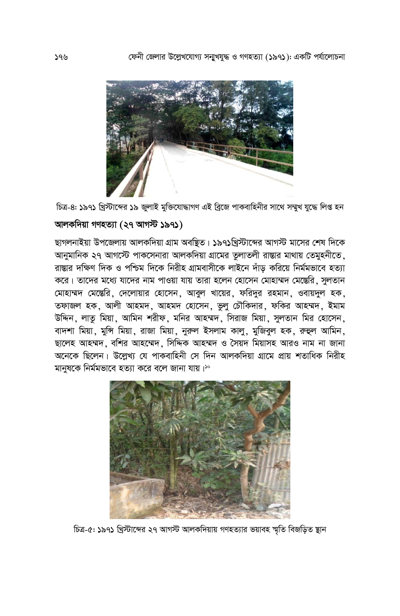

চিত্র-৪: ১৯৭১ খ্রিস্টাব্দের ১৯ জুলাই মুক্তিযোদ্ধাগণ এই ব্রিজে পাকবাহিনীর সাথে সম্মুখ যুদ্ধে লিপ্ত হন

# আলকদিয়া গণহত্যা (২৭ আগস্ট ১৯৭১)

ছাগলনাইয়া উপজেলায় আলকদিয়া গ্রাম অবন্থিত। ১৯৭১খ্রিস্টাব্দের আগস্ট মাসের শেষ দিকে আনুমানিক ২৭ আগস্টে পাকসেনারা আলকদিয়া গ্রামের তলাতলী রাস্তার মাথায় তেমুহনীতে, রাম্ভার দক্ষিণ দিক ও পশ্চিম দিকে নিরীহ গ্রামবাসীকে লাইনে দাঁড করিয়ে নির্মমভাবে হত্যা করে। তাদের মধ্যে যাদের নাম পাওয়া যায় তারা হলেন হোসেন মোহাম্মদ মেস্তেরি, সুলতান মোহাম্মদ মেস্তেরি, দেলোয়ার হোসেন, আবুল খায়ের, ফরিদুর রহমান, ওবায়দুল হক, তফাজল হক, আলী আহমদ, আহমদ হোসেন, ভুলু চৌকিদার, ফকির আহম্মদ, ইমাম উদ্দিন, লাত মিয়া, আমিন শরীফ, মনির আহম্মদ, সিরাজ মিয়া, সুলতান মির হোসেন, বাদশা মিয়া, মুন্সি মিয়া, রাজা মিয়া, নুরুল ইসলাম কালু, মুজিবুল হক, রুহুল আমিন, ছালেহ আহম্মদ, বশির আহম্মেদ, সিদ্দিক আহম্মদ ও সৈয়দ মিয়াসহ আরও নাম না জানা অনেকে ছিলেন। উল্লেখ্য যে পাকবাহিনী সে দিন আলকদিয়া গ্রামে প্রায় শতাধিক নিরীহ মানুষকে নিৰ্মমভাবে হত্যা করে বলে জানা যায়।'°



চিত্র-৫: ১৯৭১ খ্রিস্টাব্দের ২৭ আগস্ট আলকদিয়ায় গণহত্যার ভয়াবহ শ্মতি বিজড়িত স্থান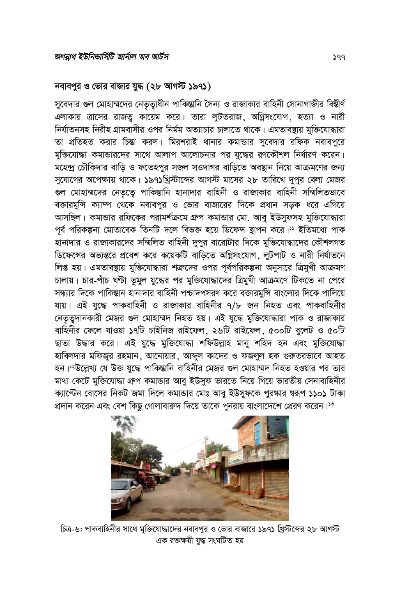#### নবাবপুর ও ভোর বাজার যুদ্ধ (২৮ আগস্ট ১৯৭১)

সুবেদার গুল মোহাম্মদের নেতৃত্বাধীন পাকিস্তানি সৈন্য ও রাজাকার বাহিনী সোনাগাজীর বিস্তীর্ণ এলাকায় ত্রাসের রাজতু কায়েম করে। তারা লুটতরাজ, অগ্নিসংযোগ, হত্যা ও নারী নির্যাতনসহ নিরীহ গ্রামবাসীর ওপর নির্মম অত্যাচার চালাতে থাকে। এমতাবন্থায় মুক্তিযোদ্ধারা তা প্রতিহত করার চিন্তা করল। মিরশরাই থানার কমান্ডার সুবেদার রফিক নবাবপুরে মুক্তিযোদ্ধা কমান্ডারদের সাথে আলাপ আলোচনার পর যুদ্ধের রণকৌশল নির্ধারণ করেন। মহেন্দ্র চৌকিদার বাড়ি ও ফতেহপুর সজল সওদাগর বাড়িতে অবস্থান নিয়ে আক্রমণের জন্য সুযোগের অপেক্ষায় থাকে। ১৯৭১খ্রিস্টাব্দের আগস্ট মাসের ২৮ তারিখে দুপুর বেলা মেজর গুল মোহাম্মদের নেতৃত্বে পাকিস্তানি হানাদার বাহিনী ও রাজাকার বাহিনী সম্মিলিতভাবে বক্তারমুন্সি ক্যাম্প থেকে নবাবপুর ও ভোর বাজারের দিকে প্রধান সড়ক ধরে এগিয়ে আসছিল। কমান্ডার রফিকের পরামর্শক্রমে গ্রুপ কমান্ডার মো. আবু ইউসুফসহ মুক্তিযোদ্ধারা পূর্ব পরিকল্পনা মোতাবেক তিনটি দলে বিভক্ত হয়ে ডিফেন্স স্থাপন করে।<sup>১১</sup> ইতিমধ্যে পাক ্<br>হানাদার ও রাজাকারদের সম্মিলিত বাহিনী দুপুর বারোটার দিকে মুক্তিযোদ্ধাদের কৌশলগত ডিফেন্সের অভ্যন্তরে প্রবেশ করে কয়েকটি বাডিতে অগ্নিসংযোগ, লটপাট ও নারী নির্যাতনে লিপ্ত হয়। এমতাবন্থায় মুক্তিযোদ্ধারা শত্রুদের ওপর পূর্বপরিকল্পনা অনুসারে ত্রিমুখী আক্রমণ চালায়। চার-পাঁচ ঘণ্টা তুমুল যুদ্ধের পর মুক্তিযোদ্ধাদের ত্রিমুখী আক্রমণে টিকতে না পেরে সন্ধ্যার দিকে পাকিস্তান হানাদার বাহিনী পশ্চাদপসরণ করে বক্তারমুন্সি বাংলোর দিকে পালিয়ে যায়। এই যুদ্ধে পাকবাহিনী ও রাজাকার বাহিনীর ৭/৮ জন নিহত এবং পাকবাহিনীর নেতৃত্বদানকারী মেজর গুল মোহাম্মদ নিহত হয়। এই যুদ্ধে মুক্তিযোদ্ধারা পাক ও রাজাকার বাহিনীর ফেলে যাওয়া ১৭টি চাইনিজ রাইফেল, ২৬টি রাইফেল, ৫০০টি বুলেট ও ৫০টি ছাতা উদ্ধার করে। এই যুদ্ধে মুক্তিযোদ্ধা শফিউল্লাহ মানু শহিদ হন এবং মুক্তিযোদ্ধা হাবিলদার মফিজুর রহমান, আনোয়ার, আব্দুল কাদের ও ফজলুল হক গুরুতরভাবে আহত হন।<sup>১২</sup>উল্লেখ্য যে উক্ত যুদ্ধে পাকিস্তানি বাহিনীর মেজর গুল মোহাম্মদ নিহত হওয়ার পর তার মাথা কেটে মুক্তিযোদ্ধা গ্রুপ কমান্ডার আবু ইউসুফ ভারতে নিয়ে গিয়ে ভারতীয় সেনাবাহিনীর ক্যান্টেন বোসের নিকট জমা দিলে কমান্ডার মোঃ আবু ইউসুফকে পুরষ্কার স্বরূপ ১১০১ টাকা প্রদান করেন এবং বেশ কিছু গোলাবারুদ দিয়ে তাকে পুনরায় বাংলাদেশে প্রেরণ করেন।<sup>১৩</sup>



চিত্র-৬: পাকবাহিনীর সাথে মুক্তিযোদ্ধাদের নবাবপুর ও ভোর বাজারে ১৯৭১ খ্রিস্টব্দের ২৮ আগস্ট এক রক্তক্ষয়ী যদ্ধ সংঘটিত হয়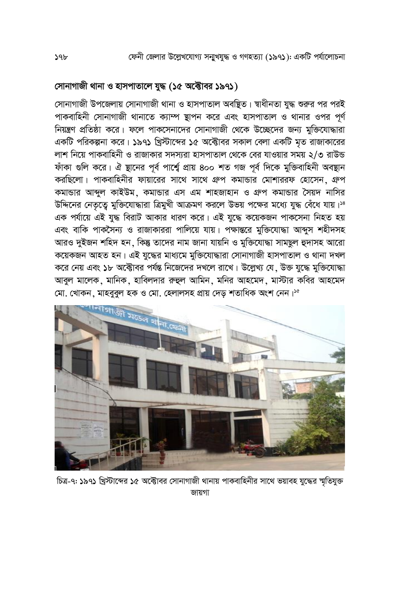# সোনাগাজী থানা ও হাসপাতালে যুদ্ধ (১৫ অক্টোবর ১৯৭১)

সোনাগাজী উপজেলায় সোনাগাজী থানা ও হাসপাতাল অবষ্থিত। শ্বাধীনতা যুদ্ধ শুরুর পর পরই পাকবাহিনী সোনাগাজী থানাতে ক্যাম্প ষ্টাপন করে এবং হাসপাতাল ও থানার ওপর পূর্ণ নিয়ন্ত্রণ প্রতিষ্ঠা করে। ফলে পাকসেনাদের সোনাগাজী থেকে উচ্ছেদের জন্য মুক্তিযোদ্ধারা একটি পরিকল্পনা করে। ১৯৭১ খ্রিস্টাব্দের ১৫ অক্টোবর সকাল বেলা একটি মৃত রাজাকারের লাশ নিয়ে পাকবাহিনী ও রাজাকার সদস্যরা হাসপাতাল থেকে বের যাওয়ার সময় ২/৩ রাউন্ড ফাঁকা গুলি করে। ঐ ষ্থানের পূর্ব পার্শ্বে প্রায় ৪০০ শত গজ পূর্ব দিকে মুক্তিবাহিনী অবস্থান করছিলো। পাকবাহিনীর ফায়ারের সাথে সাথে গ্রুপ কমান্ডার মোশাররফ হোসেন, গ্রুপ কমান্ডার আব্দুল কাইউম, কমান্ডার এস এম শাহজাহান ও গ্রুপ কমান্ডার সৈয়দ নাসির উদ্দিনের নেতৃতে মুক্তিযোদ্ধারা ত্রিমুখী আক্রমণ করলে উভয় পক্ষের মধ্যে যুদ্ধ বেঁধে যায়।<sup>38</sup> এক পর্যায়ে এই যুদ্ধ বিরাট আকার ধারণ করে। এই যুদ্ধে কয়েকজন পাকসেনা নিহত হয় এবং বাকি পাকসৈন্য ও রাজাকাররা পালিয়ে যায়। পক্ষান্তরে মুক্তিযোদ্ধা আব্দুস শহীদসহ আরও দুইজন শহিদ হন, কিন্তু তাদের নাম জানা যায়নি ও মুক্তিযোদ্ধা সামছুল হুদাসহ আরো কয়েকজন আহত হন। এই যুদ্ধের মাধ্যমে মুক্তিযোদ্ধারা সোনাগাজী হাসপাতাল ও থানা দখল করে নেয় এবং ১৮ অক্টোবর পর্যন্ত নিজেদের দখলে রাখে। উল্লেখ্য যে, উক্ত যুদ্ধে মুক্তিযোদ্ধা আবুল মালেক, মানিক, হাবিলদার রুহুল আমিন, মনির আহমেদ, মাস্টার কবির আহমেদ মো, খোকন, মাহবুবুল হক ও মো, হেলালসহ প্ৰায় দেড শতাধিক অংশ নেন।'°



চিত্র-৭: ১৯৭১ খ্রিস্টাব্দের ১৫ অক্টোবর সোনাগাজী থানায় পাকবাহিনীর সাথে ভয়াবহ যুদ্ধের স্মৃতিযুক্ত জায়গা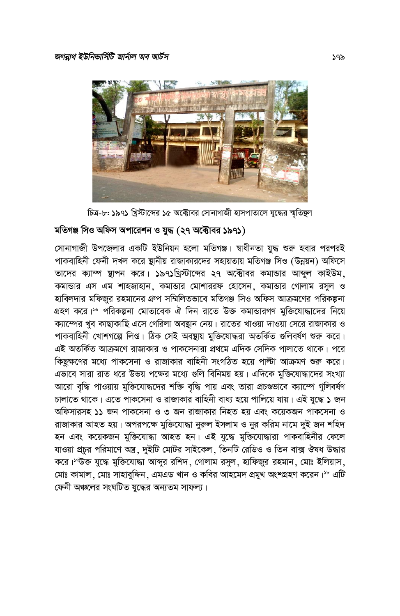

চিত্র-৮: ১৯৭১ খ্রিস্টাব্দের ১৫ অক্টোবর সোনাগাজী হাসপাতালে যুদ্ধের স্মৃতিষ্থল

#### মতিগঞ্জ সিও অফিস অপারেশন ও যুদ্ধ (২৭ অক্টোবর ১৯৭১)

সোনাগাজী উপজেলার একটি ইউনিয়ন হলো মতিগঞ্জ। স্বাধীনতা যুদ্ধ শুরু হবার পরপরই পাকবাহিনী ফেনী দখল করে ষ্থানীয় রাজাকারদের সহায়তায় মতিগঞ্জ সিও (উন্নয়ন) অফিসে তাদের ক্যাম্প ছাপন করে। ১৯৭১খ্রিস্টাব্দের ২৭ অক্টোবর কমান্ডার আব্দুল কাইউম, কমান্ডার এস এম শাহজাহান, কমান্ডার মোশাররফ হোসেন, কমান্ডার গোলাম রসুল ও হাবিলদার মফিজুর রহমানের গ্রুপ সম্মিলিতভাবে মতিগঞ্জ সিও অফিস আক্রমণের পরিকল্পনা গ্রহণ করে।<sup>১৬</sup> পরিকল্পনা মোতাবেক ঐ দিন রাতে উক্ত কমান্ডারগণ মুক্তিযোদ্ধাদের নিয়ে ক্যাম্পের খুব কাছাকাছি এসে গেরিলা অবষ্থান নেয়। রাতের খাওয়া দাওয়া সেরে রাজাকার ও পাকবাহিনী খোশগল্পে লিপ্ত। ঠিক সেই অবষ্টায় মুক্তিযোদ্ধরা অতর্কিত গুলিবর্ষণ শুরু করে। এই অতর্কিত আক্রমণে রাজাকার ও পাকসেনারা প্রথমে এদিক সেদিক পালাতে থাকে। পরে কিছুক্ষণের মধ্যে পাকসেনা ও রাজাকার বাহিনী সংগঠিত হয়ে পাল্টা আক্রমণ শুরু করে। এভাবে সারা রাত ধরে উভয় পক্ষের মধ্যে গুলি বিনিময় হয়। এদিকে মুক্তিযোদ্ধাদের সংখ্যা আরো বৃদ্ধি পাওয়ায় মুক্তিযোদ্ধদের শক্তি বৃদ্ধি পায় এবং তারা প্রচণ্ডভাবে ক্যাম্পে গুলিবর্ষণ চালাতে থাকে। এতে পাকসেনা ও রাজাকার বাহিনী বাধ্য হয়ে পালিয়ে যায়। এই যুদ্ধে ১ জন অফিসারসহ ১১ জন পাকসেনা ও ৩ জন রাজাকার নিহত হয় এবং কয়েকজন পাকসেনা ও রাজাকার আহত হয়। অপরপক্ষে মুক্তিযোদ্ধা নুরুল ইসলাম ও নুর করিম নামে দুই জন শহিদ হন এবং কয়েকজন মুক্তিযোদ্ধা আহত হন। এই যুদ্ধে মুক্তিযোদ্ধারা পাকবাহিনীর ফেলে যাওয়া প্রচর পরিমাণে অস্ত্র, দুইটি মোটর সাইকেল, তিনটি রেডিও ও তিন বাক্স ঔষধ উদ্ধার করে।<sup>১৭</sup>উক্ত যুদ্ধে মুক্তিযোদ্ধা আব্দুর রশিদ, গোলাম রসুল, হাফিজুর রহমান, মোঃ ইলিয়াস, মোঃ কামাল, মোঃ সাহাবুদ্দিন, এমএড খান ও কবির আহমেদ প্রমুখ অংশগ্রহণ করেন।<sup>১৮</sup> এটি ফেনী অঞ্চলের সংঘটিত যুদ্ধের অন্যতম সাফল্য।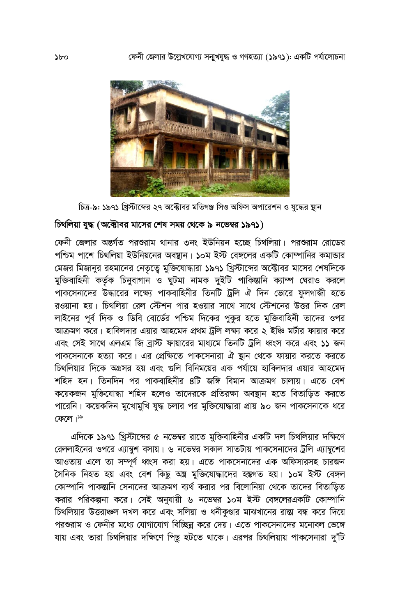

চিত্র-৯: ১৯৭১ খ্রিস্টাব্দের ২৭ অক্টোবর মতিগঞ্জ সিও অফিস অপারেশন ও যুদ্ধের স্থান

### চিথলিয়া যুদ্ধ (অক্টোবর মাসের শেষ সময় থেকে ৯ নভেম্বর ১৯৭১)

ফেনী জেলার অন্তর্গত পরশুরাম থানার ৩নং ইউনিয়ন হচ্ছে চিথলিয়া। পরশুরাম রোডের পশ্চিম পাশে চিথলিয়া ইউনিয়নের অবষ্টান। ১০ম ইস্ট বেঙ্গলের একটি কোম্পানির কমান্ডার মেজর মিজানুর রহমানের নেতৃত্বে মুক্তিযোদ্ধারা ১৯৭১ খ্রিস্টাব্দের অক্টোবর মাসের শেষদিকে মুক্তিবাহিনী কর্তৃক চিনুবাগান ও ঘুটমা নামক দুইটি পাকিস্তানি ক্যাম্প ঘেরাও করলে পাকসেনাদের উদ্ধারের লক্ষ্যে পাকবাহিনীর তিনটি ট্রলি ঐ দিন ভোরে ফুলগাজী হতে রওয়ানা হয়। চিথলিয়া রেল স্টেশন পার হওয়ার সাথে সাথে স্টেশনের উত্তর দিক রেল লাইনের পূর্ব দিক ও ডিবি বোর্ডের পশ্চিম দিকের পুকর হতে মুক্তিবাহিনী তাদের ওপর আক্রমণ করে। হাবিলদার এয়ার আহমেদ প্রথম ট্রলি লক্ষ্য করে ২ ইঞ্চি মর্টার ফায়ার করে এবং সেই সাথে এলএম জি ব্রাস্ট ফায়ারের মাধ্যমে তিনটি ট্রলি ধ্বংস করে এবং ১১ জন পাকসেনাকে হত্যা করে। এর প্রেক্ষিতে পাকসেনারা ঐ ষ্টান থেকে ফায়ার করতে করতে চিথলিয়ার দিকে অগ্রসর হয় এবং গুলি বিনিময়ের এক পর্যায়ে হাবিলদার এয়ার আহমেদ শহিদ হন। তিনদিন পর পাকবাহিনীর ৪টি জঙ্গি বিমান আক্রমণ চালায়। এতে বেশ কয়েকজন মুক্তিযোদ্ধা শহিদ হলেও তাদেরকে প্রতিরক্ষা অবস্থান হতে বিতাড়িত করতে পারেনি। কয়েকদিন মুখোমুখি যুদ্ধ চলার পর মুক্তিযোদ্ধারা প্রায় ৯০ জন পাকসেনাকে ধরে ফেলে।<sup>১৯</sup>

এদিকে ১৯৭১ খ্রিস্টাব্দের ৫ নভেম্বর রাতে মুক্তিবাহিনীর একটি দল চিথলিয়ার দক্ষিণে রেললাইনের ওপরে এ্যাম্বশ বসায়। ৬ নভেম্বর সকাল সাতটায় পাকসেনাদের ট্রলি এ্যাম্বশের আওতায় এলে তা সম্পূর্ণ ধ্বংস করা হয়। এতে পাকসেনাদের এক অফিসারসহ চারজন সৈনিক নিহত হয় এবং বেশ কিছু অন্ত্ৰ মুক্তিযোদ্ধাদের হস্তগত হয়। ১০ম ইস্ট বেঙ্গল কোম্পানি পাকম্ভানি সেনাদের আক্রমণ ব্যর্থ করার পর বিলোনিয়া থেকে তাদের বিতাড়িত করার পরিকল্পনা করে। সেই অনুযায়ী ৬ নভেম্বর ১০ম ইস্ট বেঙ্গলেরএকটি কোম্পানি চিথলিয়ার উত্তরাঞ্চল দখল করে এবং সলিয়া ও ধনীকুণ্ডার মাঝখানের রাস্তা বন্ধ করে দিয়ে পরশুরাম ও ফেনীর মধ্যে যোগাযোগ বিচ্ছিন্ন করে দেয়। এতে পাকসেনাদের মনোবল ভেঙ্গে যায় এবং তারা চিথলিয়ার দক্ষিণে পিছু হটতে থাকে। এরপর চিথলিয়ায় পাকসেনারা দু'টি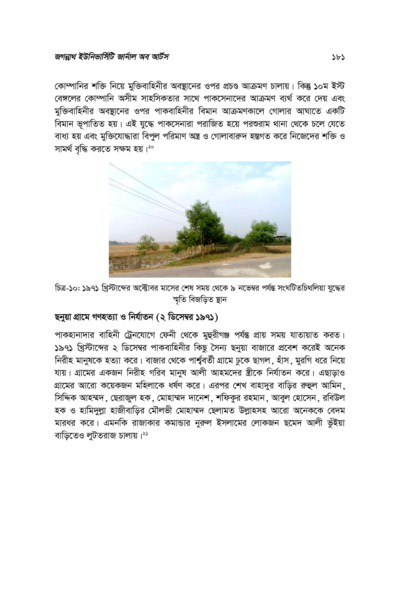কোম্পানির শক্তি নিয়ে মুক্তিবাহিনীর অবষ্থানের ওপর প্রচণ্ড আক্রমণ চালায়। কিন্তু ১০ম ইস্ট বেঙ্গলের কোম্পানি অসীম সাহসিকতার সাথে পাকসেনাদের আক্রমণ ব্যর্থ করে দেয় এবং মুক্তিবাহিনীর অবষ্টানের ওপর পাকবাহিনীর বিমান আক্রমণকালে গোলার আঘাতে একটি বিমান ভূপাতিত হয়। এই যুদ্ধে পাকসেনারা পরাজিত হয়ে পরশুরাম থানা থেকে চলে যেতে বাধ্য হয় এবং মুক্তিযোদ্ধারা বিপল পরিমাণ অন্ত্র ও গোলাবারুদ হস্তগত করে নিজেদের শক্তি ও সামৰ্থ বদ্ধি করতে সক্ষম হয়।<sup>২০</sup>



চিত্র-১০: ১৯৭১ খ্রিস্টাব্দের অক্টোবর মাসের শেষ সময় থেকে ৯ নভেম্বর পর্যন্ত সংঘটিতচিথলিয়া যুদ্ধের স্মতি বিজডিত স্থান

# ছনুয়া গ্রামে গণহত্যা ও নির্যাতন (২ ডিসেম্বর ১৯৭১)

পাকহানাদার বাহিনী ট্রেনযোগে ফেনী থেকে মুহুরীগঞ্জ পর্যন্ত প্রায় সময় যাতায়াত করত। ১৯৭১ খ্রিস্টাব্দের ২ ডিসেম্বর পাকবাহিনীর কিছু সৈন্য ছনুয়া বাজারে প্রবেশ করেই অনেক নিরীহ মানুষকে হত্যা করে। বাজার থেকে পার্শ্ববর্তী গ্রামে ঢুকে ছাগল, হাঁস, মুরগি ধরে নিয়ে যায়। গ্রামের একজন নিরীহ গরিব মানুষ আলী আহমদের স্ত্রীকে নির্যাতন করে। এছাড়াও গ্রামের আরো কয়েকজন মহিলাকে ধর্ষণ করে। এরপর শেখ বাহাদুর বাড়ির রুহুল আমিন, সিদ্দিক আহম্মদ, ছেরাজুল হক, মোহাম্মদ দানেশ, শফিকুর রহমান, আবুল হোসেন, রবিউল হক ও হামিদুল্লা হাজীবাড়ির মৌলভী মোহাম্মদ ছেলামত উল্লাহসহ আরো অনেককে বেদম মারধর করে। এমনকি রাজাকার কমান্ডার নুরুল ইসলামের লোকজন ছমেদ আলী ভূঁইয়া বাড়িতেও লুটতরাজ চালায়।<sup>২১</sup>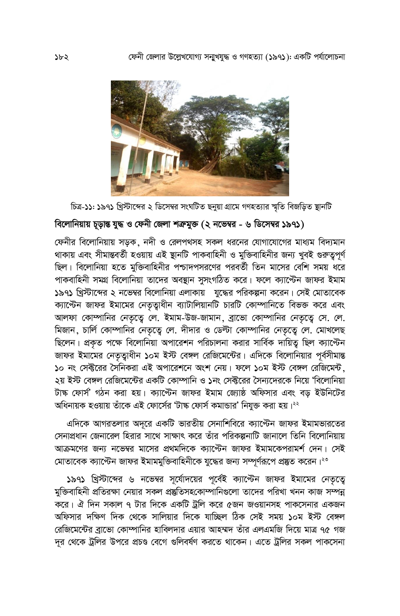

চিত্র-১১: ১৯৭১ খ্রিস্টাব্দের ২ ডিসেম্বর সংঘটিত ছনুয়া গ্রামে গণহত্যার স্মৃতি বিজড়িত স্থানটি

# বিলোনিয়ায় চূড়ান্ত যুদ্ধ ও ফেনী জেলা শত্রুমুক্ত (২ নভেম্বর - ৬ ডিসেম্বর ১৯৭১)

ফেনীর বিলোনিয়ায় সড়ক, নদী ও রেলপথসহ সকল ধরনের যোগাযোগের মাধ্যম বিদ্যমান থাকায় এবং সীমান্তবর্তী হওয়ায় এই ষ্টানটি পাকবাহিনী ও মুক্তিবাহিনীর জন্য খুবই গুরুত্বপূর্ণ ছিল। বিলোনিয়া হতে মুক্তিবাহিনীর পশ্চাদপসরণের পরবর্তী তিন মাসের বেশি সময় ধরে পাকবাহিনী সমগ্র বিলোনিয়া তাদের অবহ্যান সুসংগঠিত করে। ফলে ক্যান্টেন জাফর ইমাম ১৯৭১ খ্রিস্টাব্দের ২ নভেম্বর বিলোনিয়া এলাকায় যুদ্ধের পরিকল্পনা করেন। সেই মোতাবেক ক্যাপ্টেন জাফর ইমামের নেতৃত্বাধীন ব্যাটালিয়ানটি চারটি কোম্পানিতে বিভক্ত করে এবং আলফা কোম্পানির নেতৃত্বে লে. ইমাম-উজ-জামান, ব্রাভো কোম্পানির নেতৃত্বে সে. লে. মিজান, চার্লি কোম্পানির নেতৃত্বে লে. দীদার ও ডেল্টা কোম্পানির নেতৃত্বে লে. মোখলেছ ছিলেন। প্রকৃত পক্ষে বিলোনিয়া অপারেশন পরিচালনা করার সার্বিক দায়িত্ব ছিল ক্যান্টেন জাফর ইমামের নেতৃত্বাধীন ১০ম ইস্ট বেঙ্গল রেজিমেন্টের। এদিকে বিলোনিয়ার পূর্বসীমান্ত ১০ নং সেক্টরের সৈনিকরা এই অপারেশনে অংশ নেয়। ফলে ১০ম ইস্ট বেঙ্গল রেজিমেন্ট, ২য় ইস্ট বেঙ্গল রেজিমেন্টের একটি কোম্পানি ও ১নং সেক্টরের সৈন্যদেরকে নিয়ে 'বিলোনিয়া টাঙ্ক ফোর্স' গঠন করা হয়। ক্যান্টেন জাফর ইমাম জ্যোষ্ঠ অফিসার এবং বড় ইউনিটের অধিনায়ক হওয়ায় তাঁকে এই ফোর্সের 'টাঙ্ক ফোর্স কমান্ডার' নিযুক্ত করা হয়।<sup>২২</sup>

এদিকে আগরতলার অদূরে একটি ভারতীয় সেনাশিবিরে ক্যান্টেন জাফর ইমামভারতের সেনাপ্রধান জেনারেল হিরার সাথে সাক্ষাৎ করে তাঁর পরিকল্পনাটি জানালে তিনি বিলোনিয়ায় আক্রমণের জন্য নভেম্বর মাসের প্রথমদিকে ক্যান্টেন জাফর ইমামকেপরামর্শ দেন। সেই মোতাবেক ক্যান্টেন জাফর ইমামমুক্তিবাহিনীকে যুদ্ধের জন্য সম্পূর্ণরূপে প্রস্তুত করেন।<sup>২৩</sup>

১৯৭১ খ্রিস্টাব্দের ৬ নভেম্বর সূর্যোদয়ের পূর্বেই ক্যান্টেন জাফর ইমামের নেতৃত্বে মুক্তিবাহিনী প্রতিরক্ষা নেয়ার সকল প্রষ্তুতিসহকোম্পানিগুলো তাদের পরিখা খনন কাজ সম্পন্ন করে। ঐ দিন সকাল ৭ টার দিকে একটি ট্রলি করে ৫জন জওয়ানসহ পাকসেনার একজন অফিসার দক্ষিণ দিক থেকে সালিয়ার দিকে যাচ্ছিল ঠিক সেই সময় ১০ম ইস্ট বেঙ্গল রেজিমেন্টের ব্রাভো কোম্পানির হাবিলদার এয়ার আহম্মদ তাঁর এলএমজি দিয়ে মাত্র ৭৫ গজ দূর থেকে ট্রলির উপরে প্রচণ্ড বেগে গুলিবর্ষণ করতে থাকেন। এতে ট্রলির সকল পাকসেনা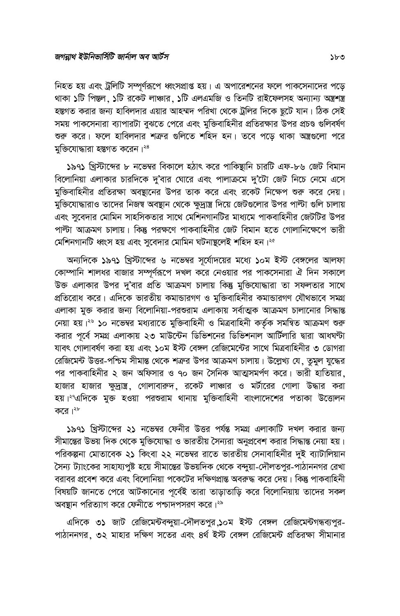নিহত হয় এবং ট্রলিটি সম্পূর্ণরূপে ধ্বংসপ্রাপ্ত হয়। এ অপারেশনের ফলে পাকসেনাদের পড়ে থাকা ১টি পিস্তল, ১টি রকেট লাঞ্চার, ১টি এলএমজি ও তিনটি রাইফেলসহ অন্যান্য অন্ত্রশস্ত্র হস্তগত করার জন্য হাবিলদার এয়ার আহম্মদ পরিখা থেকে ট্রলির দিকে ছুটে যান। ঠিক সেই সময় পাকসেনারা ব্যাপারটা বুঝতে পেরে এবং মুক্তিবাহিনীর প্রতিরক্ষার উপর প্রচণ্ড গুলিবর্ষণ শুরু করে। ফলে হাবিলদার শত্রুর গুলিতে শহিদ হন। তবে পডে থাকা অস্ত্রগুলো পরে মুক্তিযোদ্ধারা হস্তগত করেন।<sup>২৪</sup>

১৯৭১ খ্রিস্টাব্দের ৮ নভেম্বর বিকালে হঠাৎ করে পাকিষ্থানি চারটি এফ-৮৬ জেট বিমান বিলোনিয়া এলাকার চারদিকে দু'বার ঘোরে এবং পালাক্রমে দু'টো জেট নিচে নেমে এসে মুক্তিবাহিনীর প্রতিরক্ষা অবস্থানের উপর তাক করে এবং রকেট নিক্ষেপ শুরু করে দেয়। মুক্তিযোদ্ধারাও তাদের নিজম্ব অবস্থান থেকে ক্ষুদ্রান্ত্র দিয়ে জেটগুলোর উপর পাল্টা গুলি চালায় এবং সুবেদার মোমিন সাহসিকতার সাথে মেশিনগানটির মাধ্যমে পাকবাহিনীর জেটটির উপর পাল্টা আক্রমণ চালায়। কিন্তু পরক্ষণে পাকবাহিনীর জেট বিমান হতে গোলানিক্ষেপে ভারী মেশিনগানটি ধ্বংস হয় এবং সুবেদার মোমিন ঘটনাষ্টলেই শহিদ হন।<sup>২৫</sup>

অন্যদিকে ১৯৭১ খ্রিস্টাব্দের ৬ নভেম্বর সূর্যোদয়ের মধ্যে ১০ম ইস্ট বেঙ্গলের আলফা কোম্পানি শালধর বাজার সম্পূর্ণরূপে দখল করে নেওয়ার পর পাকসেনারা ঐ দিন সকালে উক্ত এলাকার উপর দ'বার প্রতি আক্রমণ চালায় কিন্তু মুক্তিযোদ্ধারা তা সফলতার সাথে প্রতিরোধ করে। এদিকে ভারতীয় কমান্ডারগণ ও মুক্তিবাহিনীর কমান্ডারগণ যৌথভাবে সমগ্র এলাকা মুক্ত করার জন্য বিলোনিয়া-পরশুরাম এলাকায় সর্বাত্মক আক্রমণ চালানোর সিদ্ধান্ত নেয়া হয়।<sup>২৬</sup> ১০ নভেম্বর মধ্যরাতে মুক্তিবাহিনী ও মিত্রবাহিনী কর্তৃক সমন্বিত আক্রমণ শুরু করার পূর্বে সমগ্র এলাকায় ২৩ মাউন্টেন ডিভিশনের ডিভিশনাল আর্টিলারি দ্বারা আধঘন্টা যাবৎ গোলাবর্ষণ করা হয় এবং ১০ম ইস্ট বেঙ্গল রেজিমেন্টের সাথে মিত্রবাহিনীর ৩ ডোগরা রেজিমেন্ট উত্তর-পশ্চিম সীমান্ত থেকে শত্রুর উপর আক্রমণ চালায়। উল্লেখ্য যে, তুমুল যুদ্ধের পর পাকবাহিনীর ২ জন অফিসার ও ৭০ জন সৈনিক আত্মসমর্পণ করে। ভারী হাতিয়ার, হাজার হাজার ক্ষুদ্রাস্ত্র, গোলাবারুদ, রকেট লাঞ্চার ও মর্টারের গোলা উদ্ধার করা হয়।<sup>২৭</sup>এদিকে মুক্ত হওয়া পরশুরাম থানায় মুক্তিবাহিনী বাংলাদেশের পতাকা উত্তোলন করে। $\frac{1}{2}$ 

১৯৭১ খ্রিস্টাব্দের ২১ নভেম্বর ফেনীর উত্তর পর্যন্ত সমগ্র এলাকাটি দখল করার জন্য সীমান্তের উভয় দিক থেকে মুক্তিযোদ্ধা ও ভারতীয় সৈন্যরা অনুপ্রবেশ করার সিদ্ধান্ত নেয়া হয়। পরিকল্পনা মোতাবেক ২১ কিংবা ২২ নভেম্বর রাতে ভারতীয় সেনাবাহিনীর দুই ব্যাটালিয়ান সৈন্য ট্যাংকের সাহায্যপুষ্ট হয়ে সীমান্তের উভয়দিক থেকে বন্দুয়া-দৌলতপুর-পাঠাননগর রেখা বরাবর প্রবেশ করে এবং বিলোনিয়া পকেটের দক্ষিণপ্রান্ত অবরুদ্ধ করে দেয়। কিন্তু পাকবাহিনী বিষয়টি জানতে পেরে আটকানোর পূর্বেই তারা তাড়াতাড়ি করে বিলোনিয়ায় তাদের সকল অবষ্টান পরিত্যাগ করে ফেনীতে পশ্চাদপসরণ করে।<sup>২৯</sup>

এদিকে ৩১ জাট রেজিমেন্টবন্দুয়া-দৌলতপুর,১০ম ইস্ট বেঙ্গল রেজিমেন্টগন্ধব্যপুর-পাঠাননগর, ৩২ মাহার দক্ষিণ সতের এবং ৪র্থ ইস্ট বেঙ্গল রেজিমেন্ট প্রতিরক্ষা সীমানার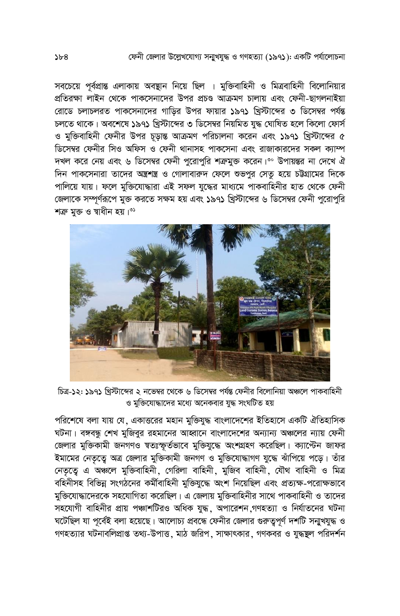#### ফেনী জেলার উল্লেখযোগ্য সনাখয়দ্ধ ও গণহত্যা (১৯৭১): একটি পর্যালোচনা

সবচেয়ে পূর্বপ্রান্ত এলাকায় অবস্থান নিয়ে ছিল । মুক্তিবাহিনী ও মিত্রবাহিনী বিলোনিয়ার প্রতিরক্ষা লাইন থেকে পাকসেনাদের উপর প্রচণ্ড আক্রমণ চালায় এবং ফেনী-ছাগলনাইয়া রোডে চলাচলরত পাকসেনাদের গাড়ির উপর ফায়ার ১৯৭১ খ্রিস্টাব্দের ৩ ডিসেম্বর পর্যন্ত চলতে থাকে। অবশেষে ১৯৭১ খ্রিস্টাব্দের ৩ ডিসেম্বর নিয়মিত যুদ্ধ ঘোষিত হলে কিলো ফোর্স ও মুক্তিবাহিনী ফেনীর উপর চূড়ান্ত আক্রমণ পরিচালনা করেন এবং ১৯৭১ খ্রিস্টাব্দের ৫ <u>ডিসেম্বর ফেনীর সিও অফিস ও ফেনী থানাসহ পাকসেনা এবং রাজাকারদের সকল ক্যাম্প</u> দখল করে নেয় এবং ৬ ডিসেম্বর ফেনী পুরোপুরি শত্রুমুক্ত করেন।°° উপায়ন্তর না দেখে ঐ দিন পাকসেনারা তাদের অন্ত্রশন্ত্র ও গোলাবারুদ ফেলে শুভপুর সেতু হয়ে চট্টগ্রামের দিকে পালিয়ে যায়। ফলে মুক্তিযোদ্ধারা এই সফল যুদ্ধের মাধ্যমে পাকবাহিনীর হাত থেকে ফেনী জেলাকে সম্পূর্ণরূপে মুক্ত করতে সক্ষম হয় এবং ১৯৭১ খ্রিস্টাব্দের ৬ ডিসেম্বর ফেনী পুরোপুরি শক্ৰ মুক্ত ও স্বাধীন হয়।<sup>৩১</sup>



চিত্র-১২: ১৯৭১ খ্রিস্টাব্দের ২ নভেম্বর থেকে ৬ ডিসেম্বর পর্যন্ত ফেনীর বিলোনিয়া অঞ্চলে পাকবাহিনী ও মুক্তিযোদ্ধাদের মধ্যে অনেকবার যুদ্ধ সংঘটিত হয়

পরিশেষে বলা যায় যে, একাত্তরের মহান মুক্তিযুদ্ধ বাংলাদেশের ইতিহাসে একটি ঐতিহাসিক ঘটনা। বঙ্গবন্ধু শেখ মুজিবুর রহমানের আহ্বানে বাংলাদেশের অন্যান্য অঞ্চলের ন্যায় ফেনী জেলার মুক্তিকামী জনগণও স্বতঃস্ফূর্তভাবে মুক্তিযুদ্ধে অংশগ্রহণ করেছিল। ক্যান্টেন জাফর ইমামের নেতৃতে অত্র জেলার মুক্তিকামী জনগণ ও মুক্তিযোদ্ধাগণ যুদ্ধে ঝাঁপিয়ে পড়ে। তাঁর নেতৃত্বে এ অঞ্চলে মুক্তিবাহিনী, গেরিলা বাহিনী, মুজিব বাহিনী, যৌথ বাহিনী ও মিত্র বহিনীসহ বিভিন্ন সংগঠনের কর্মীবাহিনী মুক্তিযুদ্ধে অংশ নিয়েছিল এবং প্রত্যক্ষ-পরোক্ষভাবে মুক্তিযোদ্ধাদেরকে সহযোগিতা করেছিল। এ জেলায় মুক্তিবাহিনীর সাথে পাকবাহিনী ও তাদের সহযোগী বাহিনীর প্রায় পঞ্চাশটিরও অধিক যুদ্ধ, অপারেশন,গণহত্যা ও নির্যাতনের ঘটনা ঘটেছিল যা পূর্বেই বলা হয়েছে। আলোচ্য প্রবন্ধে ফেনীর জেলার গুরুতুপূর্ণ দশটি সন্মুখযুদ্ধ ও গণহত্যার ঘটনাবলিপ্রাপ্ত তথ্য-উপাত্ত, মাঠ জরিপ, সাক্ষাৎকার, গণকবর ও যুদ্ধম্ভুল পরিদর্শন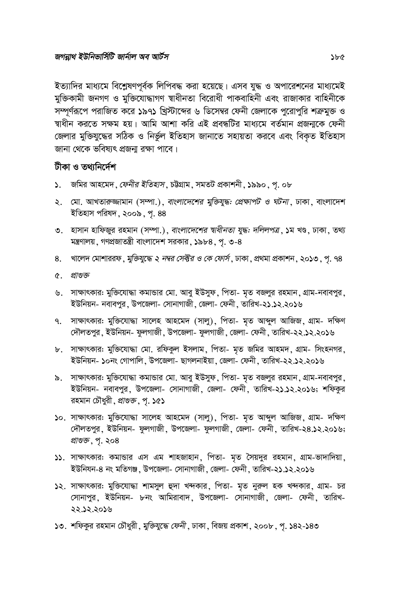ইত্যাদির মাধ্যমে বিশ্লেষণপূর্বক লিপিবদ্ধ করা হয়েছে। এসব যুদ্ধ ও অপারেশনের মাধ্যমেই মুক্তিকামী জনগণ ও মুক্তিযোদ্ধাগণ স্বাধীনতা বিরোধী পাকবাহিনী এবং রাজাকার বাহিনীকে সম্পর্ণরূপে পরাজিত করে ১৯৭১ খ্রিস্টাব্দের ৬ ডিসেম্বর ফেনী জেলাকে পরোপুরি শত্রুমুক্ত ও দ্বাধীন করতে সক্ষম হয়। আমি আশা করি এই প্রবন্ধটির মাধ্যমে বর্তমান প্রজন্মকে ফেনী জেলার মুক্তিযুদ্ধের সঠিক ও নির্ভল ইতিহাস জানাতে সহায়তা করবে এবং বিকত ইতিহাস জানা থেকে ভবিষ্যৎ প্রজন্য রক্ষা পাবে।

#### টীকা ও তথানিৰ্দেশ

- ১. জমির আহমেদ, ফেনীর ইতিহাস, চউগ্রাম, সমতট প্রকাশনী, ১৯৯০, পূ. ০৮
- ২. মো. আখতারুজ্জামান (সম্পা.), *বাংলাদেশের মুক্তিযুদ্ধ: প্রেক্ষাপট ও ঘটনা*, ঢাকা, বাংলাদেশ ইতিহাস পরিষদ, ২০০৯, পূ. 88
- ৩. হাসান হাফিজুর রহমান (সম্পা.), *বাংলাদেশের শ্বাধীনতা যুদ্ধ: দলিলপত্র*, ১ম খণ্ড, ঢাকা, তথ্য মন্ত্রণালয়, গণপ্রজাতন্ত্রী বাংলাদেশ সরকার, ১৯৮৪, পৃ. ৩-৪
- ৪. খালেদ মোশাররফ, *মুক্তিযুদ্ধে ২ নম্বর সেক্টর ও কে ফোর্স*, ঢাকা, প্রথমা প্রকাশন, ২০১৩, পূ. ৭৪
- $\alpha$ , প্রাণ্ডক
- ৬. সাক্ষাৎকার: মুক্তিযোদ্ধা কমান্ডার মো. আবু ইউসুফ, পিতা- মৃত বজলুর রহমান, গ্রাম-নবাবপুর, ইউনিয়ন- নবাবপর, উপজেলা- সোনাগাজী, জেলা- ফেনী, তারিখ-২১.১২.২০১৬
- ৭. সাক্ষাৎকার: মুক্তিযোদ্ধা সালেহ আহমেদ (সালু), পিতা- মৃত আব্দুল আজিজ, গ্রাম- দক্ষিণ দৌলতপুর, ইউনিয়ন- ফুলগাজী, উপজেলা- ফুলগাজী, জেলা- ফেনী, তারিখ-২২.১২.২০১৬
- ৮. সাক্ষাৎকার: মুক্তিযোদ্ধা মো. রফিকুল ইসলাম, পিতা- মৃত জমির আহমদ, গ্রাম- সিংহনগর, ইউনিয়ন- ১০নং গোপালি, উপজেলা- ছাগলনাইয়া, জেলা- ফেনী, তারিখ-২২.১২.২০১৬
- ৯. সাক্ষাৎকার: মুক্তিযোদ্ধা কমান্ডার মো. আবু ইউসুফ, পিতা- মৃত বজলুর রহমান, গ্রাম-নবাবপুর, ইউনিয়ন- নবাবপুর, উপজেলা- সোনাগাজী, জেলা- ফেনী, তারিখ-২১.১২.২০১৬; শফিকুর রহমান চৌধুরী, *প্রাণ্ডভ*় প. ১৫১
- ১০. সাক্ষাৎকার: মুক্তিযোদ্ধা সালেহ আহমেদ (সালু), পিতা- মৃত আব্দুল আজিজ, গ্রাম- দক্ষিণ দৌলতপুর, ইউনিয়ন- ফুলগাজী, উপজেলা- ফুলগাজী, জেলা- ফেনী, তারিখ-২৪.১২.২০১৬; প্রাণ্ডক, পৃ. ২০৪
- ১১. সাক্ষাৎকার: কমান্ডার এস এম শাহজাহান, পিতা- মৃত সৈয়দুর রহমান, গ্রাম-ভাদাদিয়া, ইউনিযন-৪ নং মতিগঞ্জ, উপজেলা- সোনাগাজী, জেলা- ফেনী, তারিখ-২১.১২.২০১৬
- ১২. সাক্ষাৎকার: মুক্তিযোদ্ধা শামসুল হুদা খন্দকার, পিতা- মৃত নুরুল হক খন্দকার, গ্রাম- চর সোনাপুর, ইউনিয়ন- ৮নং আমিরাবাদ, উপজেলা- সোনাগাজী, জেলা- ফেনী, তারিখ-२२.১२.२०১৬
- ১৩. শফিকুর রহমান চৌধুরী, মুক্তিযুদ্ধে ফেনী, ঢাকা, বিজয় প্রকাশ, ২০০৮, পূ. ১৪২-১৪৩